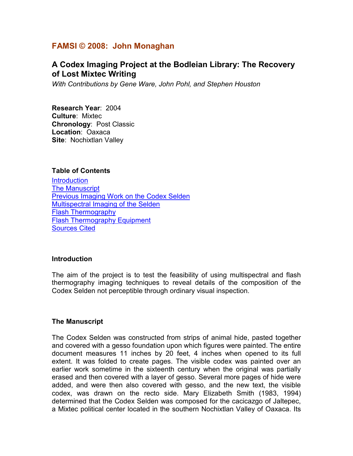## **FAMSI © 2008: John Monaghan**

# **A Codex Imaging Project at the Bodleian Library: The Recovery of Lost Mixtec Writing**

*With Contributions by Gene Ware, John Pohl, and Stephen Houston* 

**Research Year**: 2004 **Culture**: Mixtec **Chronology**: Post Classic **Location**: Oaxaca **Site**: Nochixtlan Valley

#### **Table of Contents**

**Introduction** The Manuscript [Previous Imaging Work on the Codex Selden](#page-1-0) [Multispectral Imaging of the Selden](#page-2-0) [Flash Thermography](#page-6-0) [Flash Thermography Equipment](#page-7-0) [Sources Cited](#page-8-0)

#### **Introduction**

The aim of the project is to test the feasibility of using multispectral and flash thermography imaging techniques to reveal details of the composition of the Codex Selden not perceptible through ordinary visual inspection.

#### **The Manuscript**

The Codex Selden was constructed from strips of animal hide, pasted together and covered with a gesso foundation upon which figures were painted. The entire document measures 11 inches by 20 feet, 4 inches when opened to its full extent. It was folded to create pages. The visible codex was painted over an earlier work sometime in the sixteenth century when the original was partially erased and then covered with a layer of gesso. Several more pages of hide were added, and were then also covered with gesso, and the new text, the visible codex, was drawn on the recto side. Mary Elizabeth Smith (1983, 1994) determined that the Codex Selden was composed for the cacicazgo of Jaltepec, a Mixtec political center located in the southern Nochixtlan Valley of Oaxaca. Its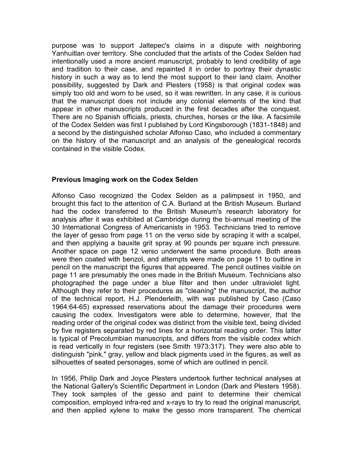<span id="page-1-0"></span>purpose was to support Jaltepec's claims in a dispute with neighboring Yanhuitlan over territory. She concluded that the artists of the Codex Selden had intentionally used a more ancient manuscript, probably to lend credibility of age and tradition to their case, and repainted it in order to portray their dynastic history in such a way as to lend the most support to their land claim. Another possibility, suggested by Dark and Plesters (1958) is that original codex was simply too old and worn to be used, so it was rewritten. In any case, it is curious that the manuscript does not include any colonial elements of the kind that appear in other manuscripts produced in the first decades after the conquest. There are no Spanish officials, priests, churches, horses or the like. A facsimile of the Codex Selden was first I published by Lord Kingsborough (1831-1848) and a second by the distinguished scholar Alfonso Caso, who included a commentary on the history of the manuscript and an analysis of the genealogical records contained in the visible Codex.

#### **Previous Imaging work on the Codex Selden**

Alfonso Caso recognized the Codex Selden as a palimpsest in 1950, and brought this fact to the attention of C.A. Burland at the British Museum. Burland had the codex transferred to the British Museum's research laboratory for analysis after it was exhibited at Cambridge during the bi-annual meeting of the 30 International Congress of Americanists in 1953. Technicians tried to remove the layer of gesso from page 11 on the verso side by scraping it with a scalpel, and then applying a bauxite grit spray at 90 pounds per square inch pressure. Another space on page 12 verso underwent the same procedure. Both areas were then coated with benzol, and attempts were made on page 11 to outline in pencil on the manuscript the figures that appeared. The pencil outlines visible on page 11 are presumably the ones made in the British Museum. Technicians also photographed the page under a blue filter and then under ultraviolet light. Although they refer to their procedures as "cleaning" the manuscript, the author of the technical report, H.J. Plenderleith, with was published by Caso (Caso 1964:64-65) expressed reservations about the damage their procedures were causing the codex. Investigators were able to determine, however, that the reading order of the original codex was distinct from the visible text, being divided by five registers separated by red lines for a horizontal reading order. This latter is typical of Precolumbian manuscripts, and differs from the visible codex which is read vertically in four registers (see Smith 1973:317). They were also able to distinguish "pink," gray, yellow and black pigments used in the figures, as well as silhouettes of seated personages, some of which are outlined in pencil.

In 1956, Philip Dark and Joyce Plesters undertook further technical analyses at the National Gallery's Scientific Department in London (Dark and Plesters 1958). They took samples of the gesso and paint to determine their chemical composition, employed infra-red and x-rays to try to read the original manuscript, and then applied xylene to make the gesso more transparent. The chemical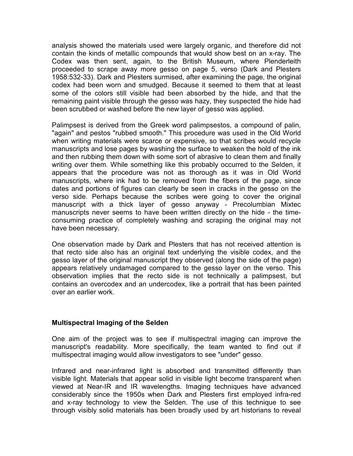<span id="page-2-0"></span>analysis showed the materials used were largely organic, and therefore did not contain the kinds of metallic compounds that would show best on an x-ray. The Codex was then sent, again, to the British Museum, where Plenderleith proceeded to scrape away more gesso on page 5, verso (Dark and Plesters 1958:532-33). Dark and Plesters surmised, after examining the page, the original codex had been worn and smudged. Because it seemed to them that at least some of the colors still visible had been absorbed by the hide, and that the remaining paint visible through the gesso was hazy, they suspected the hide had been scrubbed or washed before the new layer of gesso was applied.

Palimpsest is derived from the Greek word palimpsestos, a compound of palin, "again" and pestos "rubbed smooth." This procedure was used in the Old World when writing materials were scarce or expensive, so that scribes would recycle manuscripts and lose pages by washing the surface to weaken the hold of the ink and then rubbing them down with some sort of abrasive to clean them and finally writing over them. While something like this probably occurred to the Selden, it appears that the procedure was not as thorough as it was in Old World manuscripts, where ink had to be removed from the fibers of the page, since dates and portions of figures can clearly be seen in cracks in the gesso on the verso side. Perhaps because the scribes were going to cover the original manuscript with a thick layer of gesso anyway - Precolumbian Mixtec manuscripts never seems to have been written directly on the hide - the timeconsuming practice of completely washing and scraping the original may not have been necessary.

One observation made by Dark and Plesters that has not received attention is that recto side also has an original text underlying the visible codex, and the gesso layer of the original manuscript they observed (along the side of the page) appears relatively undamaged compared to the gesso layer on the verso. This observation implies that the recto side is not technically a palimpsest, but contains an overcodex and an undercodex, like a portrait that has been painted over an earlier work.

#### **Multispectral Imaging of the Selden**

One aim of the project was to see if multispectral imaging can improve the manuscript's readability. More specifically, the team wanted to find out if multispectral imaging would allow investigators to see "under" gesso.

Infrared and near-infrared light is absorbed and transmitted differently than visible light. Materials that appear solid in visible light become transparent when viewed at Near-IR and IR wavelengths. Imaging techniques have advanced considerably since the 1950s when Dark and Plesters first employed infra-red and x-ray technology to view the Selden. The use of this technique to see through visibly solid materials has been broadly used by art historians to reveal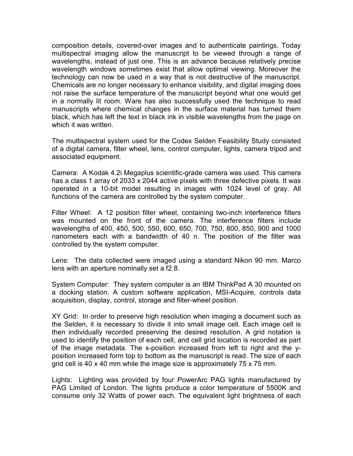composition details, covered-over images and to authenticate paintings. Today multispectral imaging allow the manuscript to be viewed through a range of wavelengths, instead of just one. This is an advance because relatively precise wavelength windows sometimes exist that allow optimal viewing. Moreover the technology can now be used in a way that is not destructive of the manuscript. Chemicals are no longer necessary to enhance visibility, and digital imaging does not raise the surface temperature of the manuscript beyond what one would get in a normally lit room. Ware has also successfully used the technique to read manuscripts where chemical changes in the surface material has turned them black, which has left the text in black ink in visible wavelengths from the page on which it was written.

The multispectral system used for the Codex Selden Feasibility Study consisted of a digital camera, filter wheel, lens, control computer, lights, camera tripod and associated equipment.

Camera: A Kodak 4.2i Megaplus scientific-grade camera was used. This camera has a class 1 array of 2033 x 2044 active pixels with three defective pixels. It was operated in a 10-bit model resulting in images with 1024 level of gray. All functions of the camera are controlled by the system computer.

Filter Wheel: A 12 position filter wheel, containing two-inch interference filters was mounted on the front of the camera. The interference filters include wavelengths of 400, 450, 500, 550, 600, 650, 700, 750, 800, 850, 900 and 1000 nanometers each with a bandwidth of 40 n. The position of the filter was controlled by the system computer.

Lens: The data collected were imaged using a standard Nikon 90 mm. Marco lens with an aperture nominally set a f2.8.

System Computer: They system computer is an IBM ThinkPad A 30 mounted on a docking station. A custom software application, MSI-Acquire, controls data acquisition, display, control, storage and filter-wheel position.

XY Grid: In order to preserve high resolution when imaging a document such as the Selden, it is necessary to divide it into small image cell. Each image cell is then individually recorded preserving the desired resolution. A grid notation is used to identify the position of each cell, and cell grid location is recorded as part of the image metadata. The x-position increased from left to right and the yposition increased form top to bottom as the manuscript is read. The size of each grid cell is 40 x 40 mm while the image size is approximately 75 x 75 mm.

Lights: Lighting was provided by four PowerArc PAG lights manufactured by PAG Limited of London. The lights produce a color temperature of 5500K and consume only 32 Watts of power each. The equivalent light brightness of each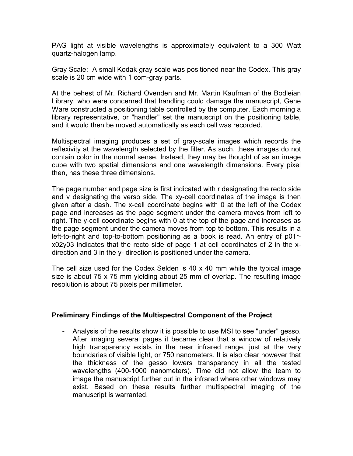PAG light at visible wavelengths is approximately equivalent to a 300 Watt quartz-halogen lamp.

Gray Scale: A small Kodak gray scale was positioned near the Codex. This gray scale is 20 cm wide with 1 com-gray parts.

At the behest of Mr. Richard Ovenden and Mr. Martin Kaufman of the Bodleian Library, who were concerned that handling could damage the manuscript, Gene Ware constructed a positioning table controlled by the computer. Each morning a library representative, or "handler" set the manuscript on the positioning table, and it would then be moved automatically as each cell was recorded.

Multispectral imaging produces a set of gray-scale images which records the reflexivity at the wavelength selected by the filter. As such, these images do not contain color in the normal sense. Instead, they may be thought of as an image cube with two spatial dimensions and one wavelength dimensions. Every pixel then, has these three dimensions.

The page number and page size is first indicated with r designating the recto side and v designating the verso side. The xy-cell coordinates of the image is then given after a dash. The x-cell coordinate begins with 0 at the left of the Codex page and increases as the page segment under the camera moves from left to right. The y-cell coordinate begins with 0 at the top of the page and increases as the page segment under the camera moves from top to bottom. This results in a left-to-right and top-to-bottom positioning as a book is read. An entry of p01rx02y03 indicates that the recto side of page 1 at cell coordinates of 2 in the xdirection and 3 in the y- direction is positioned under the camera.

The cell size used for the Codex Selden is 40 x 40 mm while the typical image size is about 75 x 75 mm yielding about 25 mm of overlap. The resulting image resolution is about 75 pixels per millimeter.

#### **Preliminary Findings of the MuItispectral Component of the Project**

- Analysis of the results show it is possible to use MSI to see "under" gesso. After imaging several pages it became clear that a window of relatively high transparency exists in the near infrared range, just at the very boundaries of visible light, or 750 nanometers. It is also clear however that the thickness of the gesso lowers transparency in all the tested wavelengths (400-1000 nanometers). Time did not allow the team to image the manuscript further out in the infrared where other windows may exist. Based on these results further multispectral imaging of the manuscript is warranted.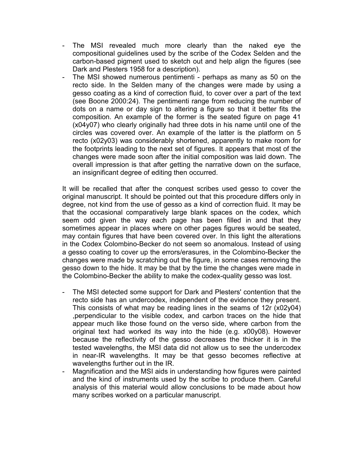- The MSI revealed much more clearly than the naked eye the compositional guidelines used by the scribe of the Codex Selden and the carbon-based pigment used to sketch out and help align the figures (see Dark and Plesters 1958 for a description).
- The MSI showed numerous pentimenti perhaps as many as 50 on the recto side. In the Selden many of the changes were made by using a gesso coating as a kind of correction fluid, to cover over a part of the text (see Boone 2000:24). The pentimenti range from reducing the number of dots on a name or day sign to altering a figure so that it better fits the composition. An example of the former is the seated figure on page 41 (x04y07) who clearly originally had three dots in his name until one of the circles was covered over. An example of the latter is the platform on 5 recto (x02y03) was considerably shortened, apparently to make room for the footprints leading to the next set of figures. It appears that most of the changes were made soon after the initial composition was laid down. The overall impression is that after getting the narrative down on the surface, an insignificant degree of editing then occurred.

It will be recalled that after the conquest scribes used gesso to cover the original manuscript. It should be pointed out that this procedure differs only in degree, not kind from the use of gesso as a kind of correction fluid. It may be that the occasional comparatively large blank spaces on the codex, which seem odd given the way each page has been filled in and that they sometimes appear in places where on other pages figures would be seated, may contain figures that have been covered over. In this light the alterations in the Codex Colombino-Becker do not seem so anomalous. Instead of using a gesso coating to cover up the errors/erasures, in the Colombino-Becker the changes were made by scratching out the figure, in some cases removing the gesso down to the hide. It may be that by the time the changes were made in the Colombino-Becker the ability to make the codex-quality gesso was lost.

- The MSI detected some support for Dark and Plesters' contention that the recto side has an undercodex, independent of the evidence they present. This consists of what may be reading lines in the seams of 12r (x02y04) ,perpendicular to the visible codex, and carbon traces on the hide that appear much like those found on the verso side, where carbon from the original text had worked its way into the hide (e.g. x00y08). However because the reflectivity of the gesso decreases the thicker it is in the tested wavelengths, the MSI data did not allow us to see the undercodex in near-IR wavelengths. It may be that gesso becomes reflective at wavelengths further out in the IR.
- Magnification and the MSI aids in understanding how figures were painted and the kind of instruments used by the scribe to produce them. Careful analysis of this material would allow conclusions to be made about how many scribes worked on a particular manuscript.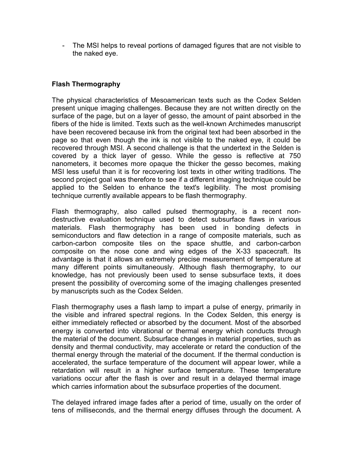<span id="page-6-0"></span>- The MSI helps to reveal portions of damaged figures that are not visible to the naked eye.

## **Flash Thermography**

The physical characteristics of Mesoamerican texts such as the Codex Selden present unique imaging challenges. Because they are not written directly on the surface of the page, but on a layer of gesso, the amount of paint absorbed in the fibers of the hide is limited. Texts such as the well-known Archimedes manuscript have been recovered because ink from the original text had been absorbed in the page so that even though the ink is not visible to the naked eye, it could be recovered through MSI. A second challenge is that the undertext in the Selden is covered by a thick layer of gesso. While the gesso is reflective at 750 nanometers, it becomes more opaque the thicker the gesso becomes, making MSI less useful than it is for recovering lost texts in other writing traditions. The second project goal was therefore to see if a different imaging technique could be applied to the Selden to enhance the text's legibility. The most promising technique currently available appears to be flash thermography.

Flash thermography, also called pulsed thermography, is a recent nondestructive evaluation technique used to detect subsurface flaws in various materials. Flash thermography has been used in bonding defects in semiconductors and flaw detection in a range of composite materials, such as carbon-carbon composite tiles on the space shuttle, and carbon-carbon composite on the nose cone and wing edges of the X-33 spacecraft. Its advantage is that it allows an extremely precise measurement of temperature at many different points simultaneously. Although flash thermography, to our knowledge, has not previously been used to sense subsurface texts, it does present the possibility of overcoming some of the imaging challenges presented by manuscripts such as the Codex Selden.

Flash thermography uses a flash lamp to impart a pulse of energy, primarily in the visible and infrared spectral regions. In the Codex Selden, this energy is either immediately reflected or absorbed by the document. Most of the absorbed energy is converted into vibrational or thermal energy which conducts through the material of the document. Subsurface changes in material properties, such as density and thermal conductivity, may accelerate or retard the conduction of the thermal energy through the material of the document. If the thermal conduction is accelerated, the surface temperature of the document will appear lower, while a retardation will result in a higher surface temperature. These temperature variations occur after the flash is over and result in a delayed thermal image which carries information about the subsurface properties of the document.

The delayed infrared image fades after a period of time, usually on the order of tens of milliseconds, and the thermal energy diffuses through the document. A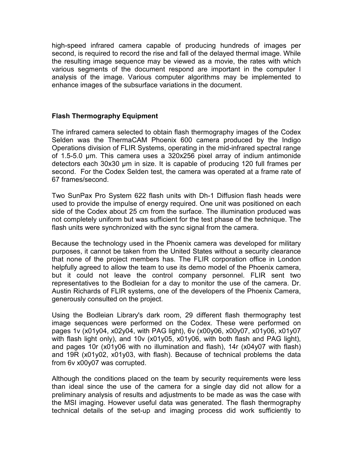<span id="page-7-0"></span>high-speed infrared camera capable of producing hundreds of images per second, is required to record the rise and fall of the delayed thermal image. While the resulting image sequence may be viewed as a movie, the rates with which various segments of the document respond are important in the computer I analysis of the image. Various computer algorithms may be implemented to enhance images of the subsurface variations in the document.

#### **Flash Thermography Equipment**

The infrared camera selected to obtain flash thermography images of the Codex Selden was the ThermaCAM Phoenix 600 camera produced by the Indigo Operations division of FLIR Systems, operating in the mid-infrared spectral range of 1.5-5.0 µm. This camera uses a 320x256 pixel array of indium antimonide detectors each 30x30 µm in size. It is capable of producing 120 full frames per second. For the Codex Selden test, the camera was operated at a frame rate of 67 frames/second.

Two SunPax Pro System 622 flash units with Dh-1 Diffusion flash heads were used to provide the impulse of energy required. One unit was positioned on each side of the Codex about 25 cm from the surface. The illumination produced was not completely uniform but was sufficient for the test phase of the technique. The flash units were synchronized with the sync signal from the camera.

Because the technology used in the Phoenix camera was developed for military purposes, it cannot be taken from the United States without a security clearance that none of the project members has. The FLIR corporation office in London helpfully agreed to allow the team to use its demo model of the Phoenix camera, but it could not leave the control company personnel. FLIR sent two representatives to the Bodleian for a day to monitor the use of the camera. Dr. Austin Richards of FLIR systems, one of the developers of the Phoenix Camera, generously consulted on the project.

Using the Bodleian Library's dark room, 29 different flash thermography test image sequences were performed on the Codex. These were performed on pages 1v (x01y04, x02y04, with PAG light), 6v (x00y06, x00y07, x01y06, x01y07 with flash light only), and 10v (x01y05, x01y06, with both flash and PAG light), and pages 10r (x01y06 with no illumination and flash), 14r (x04y07 with flash) and 19R (x01y02, x01y03, with flash). Because of technical problems the data from 6v x00y07 was corrupted.

Although the conditions placed on the team by security requirements were less than ideal since the use of the camera for a single day did not allow for a preliminary analysis of results and adjustments to be made as was the case with the MSI imaging. However useful data was generated. The flash thermography technical details of the set-up and imaging process did work sufficiently to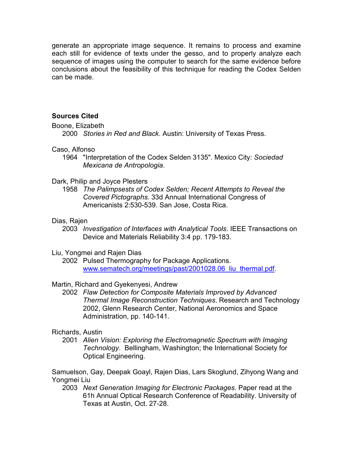<span id="page-8-0"></span>generate an appropriate image sequence. It remains to process and examine each still for evidence of texts under the gesso, and to properly analyze each sequence of images using the computer to search for the same evidence before conclusions about the feasibility of this technique for reading the Codex Selden can be made.

## **Sources Cited**

Boone, Elizabeth

2000 *Stories in Red and Black*. Austin: University of Texas Press.

## Caso, Alfonso

1964 "Interpretation of the Codex Selden 3135". Mexico City: *Sociedad Mexicana de Antropologia*.

#### Dark, Philip and Joyce Plesters

1958 *The Palimpsests of Codex Selden; Recent Attempts to Reveal the Covered Pictographs*. 33d Annual International Congress of Americanists 2:530-539. San Jose, Costa Rica.

## Dias, Rajen

2003 *Investigation of Interfaces with Analytical Tools*. IEEE Transactions on Device and Materials Reliability 3:4 pp. 179-183.

#### Liu, Yongmei and Rajen Dias

2002 Pulsed Thermography for Package Applications. www.sematech.org/meetings/past/2001028.06 liu\_thermal.pdf.

#### Martin, Richard and Gyekenyesi, Andrew

2002 *Flaw Detection for Composite Materials Improved by Advanced Thermal Image Reconstruction Techniques*. Research and Technology 2002, Glenn Research Center, National Aeronomics and Space Administration, pp. 140-141.

#### Richards, Austin

2001 *Alien Vision: Exploring the Electromagnetic Spectrum with Imaging Technology*. Bellingham, Washington; the International Society for Optical Engineering.

Samuelson, Gay, Deepak Goayl, Rajen Dias, Lars Skoglund, Zihyong Wang and Yongmei Liu

2003 *Next Generation Imaging for Electronic Packages*. Paper read at the 61h Annual Optical Research Conference of Readability. University of Texas at Austin, Oct. 27-28.